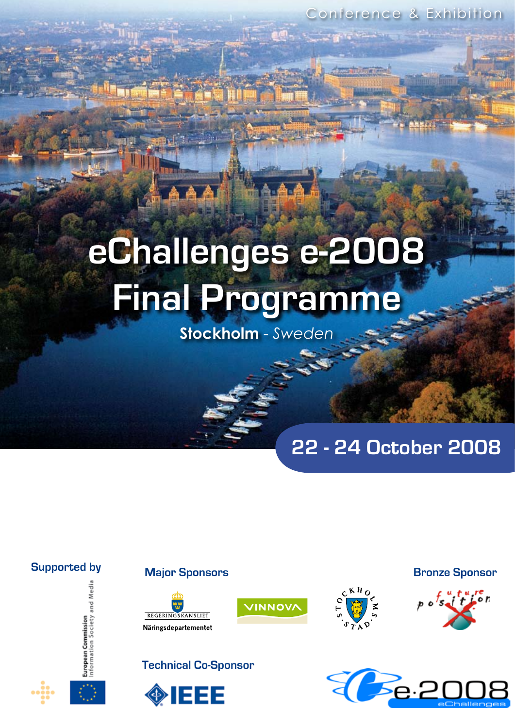Conference & Exhibition

# **eChallenges e-2008 Final Programme**

**Stockholm** - *Sweden*

**INNOV** 

**22 - 24 October 2008**













КHс



**Bronze Sponsor**

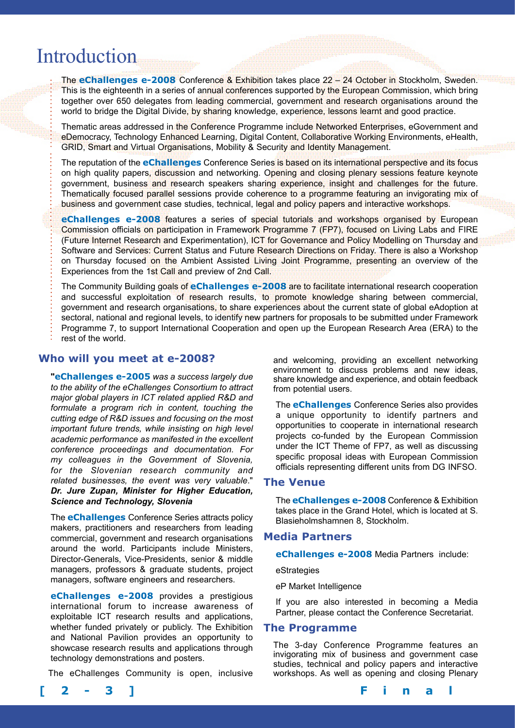# Introduction

The **eChallenges e-2008** Conference & Exhibition takes place 22 – 24 October in Stockholm, Sweden. This is the eighteenth in a series of annual conferences supported by the European Commission, which bring together over 650 delegates from leading commercial, government and research organisations around the world to bridge the Digital Divide, by sharing knowledge, experience, lessons learnt and good practice.

Thematic areas addressed in the Conference Programme include Networked Enterprises, eGovernment and eDemocracy, Technology Enhanced Learning, Digital Content, Collaborative Working Environments, eHealth, GRID, Smart and Virtual Organisations, Mobility & Security and Identity Management.

The reputation of the **eChallenges** Conference Series is based on its international perspective and its focus on high quality papers, discussion and networking. Opening and closing plenary sessions feature keynote government, business and research speakers sharing experience, insight and challenges for the future. Thematically focused parallel sessions provide coherence to a programme featuring an invigorating mix of business and government case studies, technical, legal and policy papers and interactive workshops.

**eChallenges e-2008** features a series of special tutorials and workshops organised by European Commission officials on participation in Framework Programme 7 (FP7), focused on Living Labs and FIRE (Future Internet Research and Experimentation), ICT for Governance and Policy Modelling on Thursday and Software and Services: Current Status and Future Research Directions on Friday. There is also a Workshop on Thursday focused on the Ambient Assisted Living Joint Programme, presenting an overview of the Experiences from the 1st Call and preview of 2nd Call.

The Community Building goals of **eChallenges e-2008** are to facilitate international research cooperation and successful exploitation of research results, to promote knowledge sharing between commercial, government and research organisations, to share experiences about the current state of global eAdoption at sectoral, national and regional levels, to identify new partners for proposals to be submitted under Framework Programme 7, to support International Cooperation and open up the European Research Area (ERA) to the rest of the world.

## **Who will you meet at e-2008?**

**"eChallenges e-2005** *was a success largely due to the ability of the eChallenges Consortium to attract major global players in ICT related applied R&D and formulate a program rich in content, touching the cutting edge of R&D issues and focusing on the most important future trends, while insisting on high level academic performance as manifested in the excellent conference proceedings and documentation. For my colleagues in the Government of Slovenia, for the Slovenian research community and related businesses, the event was very valuable*." *Dr. Jure Zupan, Minister for Higher Education, Science and Technology, Slovenia*

The **eChallenges** Conference Series attracts policy makers, practitioners and researchers from leading commercial, government and research organisations around the world. Participants include Ministers, Director-Generals, Vice-Presidents, senior & middle managers, professors & graduate students, project managers, software engineers and researchers.

**eChallenges e-2008** provides a prestigious international forum to increase awareness of exploitable ICT research results and applications, whether funded privately or publicly. The Exhibition and National Pavilion provides an opportunity to showcase research results and applications through technology demonstrations and posters.

The eChallenges Community is open, inclusive



The **eChallenges** Conference Series also provides a unique opportunity to identify partners and opportunities to cooperate in international research projects co-funded by the European Commission under the ICT Theme of FP7, as well as discussing specific proposal ideas with European Commission officials representing different units from DG INFSO.

## **The Venue**

The **eChallenges e-2008** Conference & Exhibition takes place in the Grand Hotel, which is located at S. Blasieholmshamnen 8, Stockholm.

## **Media Partners**

**eChallenges e-2008** Media Partners include:

eStrategies

eP Market Intelligence

If you are also interested in becoming a Media Partner, please contact the Conference Secretariat.

## **The Programme**

The 3-day Conference Programme features an invigorating mix of business and government case studies, technical and policy papers and interactive workshops. As well as opening and closing Plenary

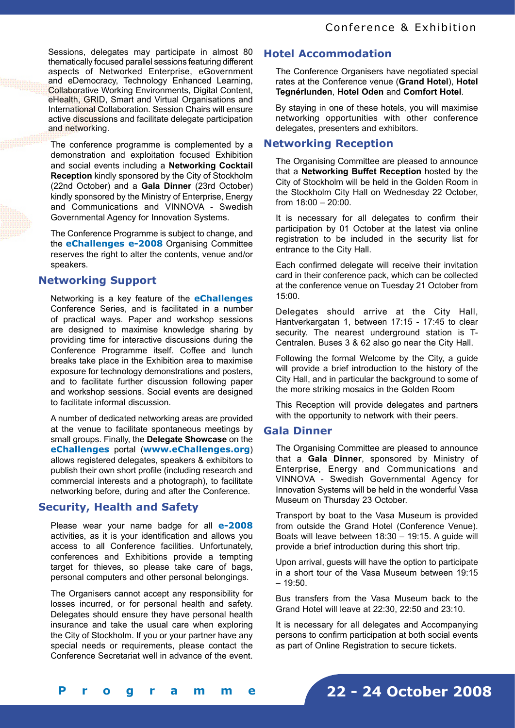Sessions, delegates may participate in almost 80 thematically focused parallel sessions featuring different aspects of Networked Enterprise, eGovernment and eDemocracy, Technology Enhanced Learning, Collaborative Working Environments, Digital Content, eHealth, GRID, Smart and Virtual Organisations and International Collaboration. Session Chairs will ensure active discussions and facilitate delegate participation and networking.

The conference programme is complemented by a demonstration and exploitation focused Exhibition and social events including a **Networking Cocktail Reception** kindly sponsored by the City of Stockholm (22nd October) and a **Gala Dinner** (23rd October) kindly sponsored by the Ministry of Enterprise, Energy and Communications and VINNOVA - Swedish Governmental Agency for Innovation Systems.

The Conference Programme is subject to change, and the **eChallenges e-2008** Organising Committee reserves the right to alter the contents, venue and/or speakers.

# **Networking Support**

Networking is a key feature of the **eChallenges** Conference Series, and is facilitated in a number of practical ways. Paper and workshop sessions are designed to maximise knowledge sharing by providing time for interactive discussions during the Conference Programme itself. Coffee and lunch breaks take place in the Exhibition area to maximise exposure for technology demonstrations and posters, and to facilitate further discussion following paper and workshop sessions. Social events are designed to facilitate informal discussion.

A number of dedicated networking areas are provided at the venue to facilitate spontaneous meetings by small groups. Finally, the **Delegate Showcase** on the **eChallenges** portal (**www.eChallenges.org**) allows registered delegates, speakers & exhibitors to publish their own short profile (including research and commercial interests and a photograph), to facilitate networking before, during and after the Conference.

# **Security, Health and Safety**

Please wear your name badge for all **e-2008**  activities, as it is your identification and allows you access to all Conference facilities. Unfortunately, conferences and Exhibitions provide a tempting target for thieves, so please take care of bags, personal computers and other personal belongings.

The Organisers cannot accept any responsibility for losses incurred, or for personal health and safety. Delegates should ensure they have personal health insurance and take the usual care when exploring the City of Stockholm. If you or your partner have any special needs or requirements, please contact the Conference Secretariat well in advance of the event.

# **Hotel Accommodation**

The Conference Organisers have negotiated special rates at the Conference venue (**Grand Hotel**), **Hotel Tegnérlunden**, **Hotel Oden** and **Comfort Hotel**.

By staying in one of these hotels, you will maximise networking opportunities with other conference delegates, presenters and exhibitors.

# **Networking Reception**

The Organising Committee are pleased to announce that a **Networking Buffet Reception** hosted by the City of Stockholm will be held in the Golden Room in the Stockholm City Hall on Wednesday 22 October, from 18:00 – 20:00.

It is necessary for all delegates to confirm their participation by 01 October at the latest via online registration to be included in the security list for entrance to the City Hall.

Each confirmed delegate will receive their invitation card in their conference pack, which can be collected at the conference venue on Tuesday 21 October from 15:00.

Delegates should arrive at the City Hall, Hantverkargatan 1, between 17:15 - 17:45 to clear security. The nearest underground station is T-Centralen. Buses 3 & 62 also go near the City Hall.

Following the formal Welcome by the City, a guide will provide a brief introduction to the history of the City Hall, and in particular the background to some of the more striking mosaics in the Golden Room

This Reception will provide delegates and partners with the opportunity to network with their peers.

# **Gala Dinner**

The Organising Committee are pleased to announce that a **Gala Dinner**, sponsored by Ministry of Enterprise, Energy and Communications and VINNOVA - Swedish Governmental Agency for Innovation Systems will be held in the wonderful Vasa Museum on Thursday 23 October.

Transport by boat to the Vasa Museum is provided from outside the Grand Hotel (Conference Venue). Boats will leave between 18:30 – 19:15. A guide will provide a brief introduction during this short trip.

Upon arrival, guests will have the option to participate in a short tour of the Vasa Museum between 19:15  $-19:50.$ 

Bus transfers from the Vasa Museum back to the Grand Hotel will leave at 22:30, 22:50 and 23:10.

It is necessary for all delegates and Accompanying persons to confirm participation at both social events as part of Online Registration to secure tickets.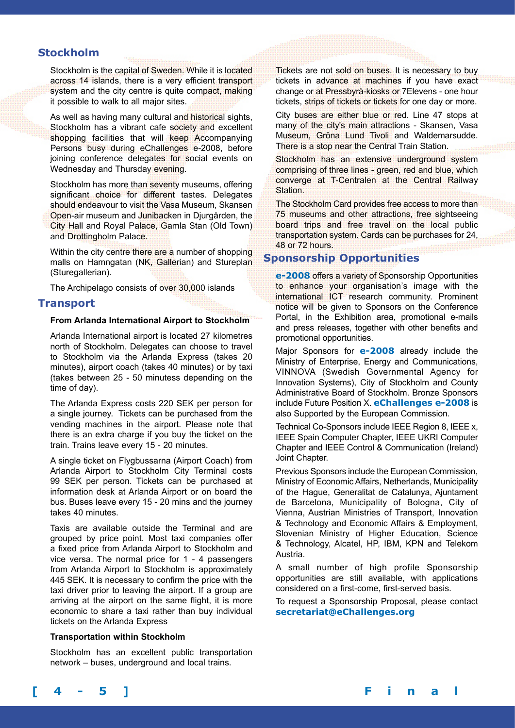# **Stockholm**

Stockholm is the capital of Sweden. While it is located across 14 islands, there is a very efficient transport system and the city centre is quite compact, making it possible to walk to all major sites.

As well as having many cultural and historical sights, Stockholm has a vibrant cafe society and excellent shopping facilities that will keep Accompanying Persons busy during eChallenges e-2008, before joining conference delegates for social events on Wednesday and Thursday evening.

Stockholm has more than seventy museums, offering significant choice for different tastes. Delegates should endeavour to visit the Vasa Museum, Skansen Open-air museum and Junibacken in Djurgården, the City Hall and Royal Palace, Gamla Stan (Old Town) and Drottingholm Palace.

Within the city centre there are a number of shopping malls on Hamngatan (NK, Gallerian) and Stureplan (Sturegallerian).

The Archipelago consists of over 30,000 islands

# **Transport**

## **From Arlanda International Airport to Stockholm**

Arlanda International airport is located 27 kilometres north of Stockholm. Delegates can choose to travel to Stockholm via the Arlanda Express (takes 20 minutes), airport coach (takes 40 minutes) or by taxi (takes between 25 - 50 minutess depending on the time of day).

The Arlanda Express costs 220 SEK per person for a single journey. Tickets can be purchased from the vending machines in the airport. Please note that there is an extra charge if you buy the ticket on the train. Trains leave every 15 - 20 minutes.

A single ticket on Flygbussarna (Airport Coach) from Arlanda Airport to Stockholm City Terminal costs 99 SEK per person. Tickets can be purchased at information desk at Arlanda Airport or on board the bus. Buses leave every 15 - 20 mins and the journey takes 40 minutes.

Taxis are available outside the Terminal and are grouped by price point. Most taxi companies offer a fixed price from Arlanda Airport to Stockholm and vice versa. The normal price for 1 - 4 passengers from Arlanda Airport to Stockholm is approximately 445 SEK. It is necessary to confirm the price with the taxi driver prior to leaving the airport. If a group are arriving at the airport on the same flight, it is more economic to share a taxi rather than buy individual tickets on the Arlanda Express

#### **Transportation within Stockholm**

Stockholm has an excellent public transportation network – buses, underground and local trains.

Tickets are not sold on buses. It is necessary to buy tickets in advance at machines if you have exact change or at Pressbyrå-kiosks or 7Elevens - one hour tickets, strips of tickets or tickets for one day or more.

City buses are either blue or red. Line 47 stops at many of the city's main attractions - Skansen, Vasa Museum, Gröna Lund Tivoli and Waldemarsudde. There is a stop near the Central Train Station.

Stockholm has an extensive underground system comprising of three lines - green, red and blue, which converge at T-Centralen at the Central Railway Station.

The Stockholm Card provides free access to more than 75 museums and other attractions, free sightseeing board trips and free travel on the local public transportation system. Cards can be purchases for 24, 48 or 72 hours.

# **Sponsorship Opportunities**

**e-2008** offers a variety of Sponsorship Opportunities to enhance your organisation's image with the international ICT research community. Prominent notice will be given to Sponsors on the Conference Portal, in the Exhibition area, promotional e-mails and press releases, together with other benefits and promotional opportunities.

Major Sponsors for **e-2008** already include the Ministry of Enterprise, Energy and Communications, VINNOVA (Swedish Governmental Agency for Innovation Systems), City of Stockholm and County Administrative Board of Stockholm. Bronze Sponsors include Future Position X. **eChallenges e-2008** is also Supported by the European Commission.

Technical Co-Sponsors include IEEE Region 8, IEEE x, IEEE Spain Computer Chapter, IEEE UKRI Computer Chapter and IEEE Control & Communication (Ireland) Joint Chapter.

Previous Sponsors include the European Commission, Ministry of Economic Affairs, Netherlands, Municipality of the Hague, Generalitat de Catalunya, Ajuntament de Barcelona, Municipality of Bologna, City of Vienna, Austrian Ministries of Transport, Innovation & Technology and Economic Affairs & Employment, Slovenian Ministry of Higher Education, Science & Technology, Alcatel, HP, IBM, KPN and Telekom Austria.

A small number of high profile Sponsorship opportunities are still available, with applications considered on a first-come, first-served basis.

To request a Sponsorship Proposal, please contact **secretariat@eChallenges.org**

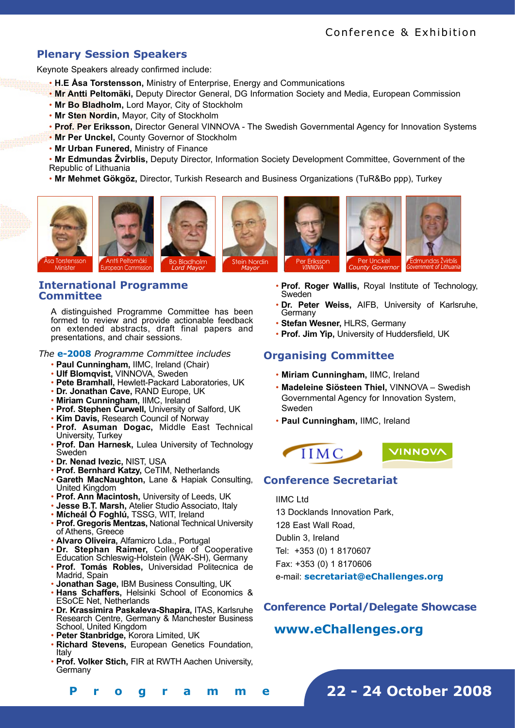# **Plenary Session Speakers**

Keynote Speakers already confirmed include:

- **H.E Åsa Torstensson,** Ministry of Enterprise, Energy and Communications
- **Mr Antti Peltomäki,** Deputy Director General, DG Information Society and Media, European Commission
- **Mr Bo Bladholm,** Lord Mayor, City of Stockholm
- **Mr Sten Nordin,** Mayor, City of Stockholm
- **Prof. Per Eriksson,** Director General VINNOVA The Swedish Governmental Agency for Innovation Systems
- **Mr Per Unckel,** County Governor of Stockholm
- **Mr Urban Funered,** Ministry of Finance

• **Mr Edmundas Žvirblis,** Deputy Director, Information Society Development Committee, Government of the Republic of Lithuania

• **Mr Mehmet Gökgöz,** Director, Turkish Research and Business Organizations (TuR&Bo ppp), Turkey









Minister

# **International Programme Committee**

A distinguished Programme Committee has been formed to review and provide actionable feedback on extended abstracts, draft final papers and presentations, and chair sessions.

## *The* **e-2008** *Programme Committee includes*

- **Paul Cunningham,** IIMC, Ireland (Chair)
- **Ulf Blomqvist,** VINNOVA, Sweden
- **Pete Bramhall,** Hewlett-Packard Laboratories, UK
- **Dr. Jonathan Cave,** RAND Europe, UK
- **Miriam Cunningham,** IIMC, Ireland
- **Prof. Stephen Curwell,** University of Salford, UK
- **Kim Davis,** Research Council of Norway
- **Prof. Asuman Dogac,** Middle East Technical University, Turkey
- **Prof. Dan Harnesk,** Lulea University of Technology Sweden
- **Dr. Nenad Ivezic,** NIST, USA
- **Prof. Bernhard Katzy,** CeTIM, Netherlands
- **Gareth MacNaughton,** Lane & Hapiak Consulting,
- United Kingdom
- **Prof. Ann Macintosh,** University of Leeds, UK
- **Jesse B.T. Marsh,** Atelier Studio Associato, Italy
- **Mícheál Ó Foghlú,** TSSG, WIT, Ireland
- **Prof. Gregoris Mentzas,** National Technical University of Athens, Greece
- **Alvaro Oliveira,** Alfamicro Lda., Portugal
- **Dr. Stephan Raimer,** College of Cooperative Education Schleswig-Holstein (WAK-SH), Germany
- **Prof. Tomás Robles,** Universidad Politecnica de Madrid, Spain
- **Jonathan Sage,** IBM Business Consulting, UK
- **Hans Schaffers,** Helsinki School of Economics & ESoCE Net, Netherlands
- **Dr. Krassimira Paskaleva-Shapira,** ITAS, Karlsruhe Research Centre, Germany & Manchester Business School, United Kingdom
- **Peter Stanbridge,** Korora Limited, UK

**[ 4 - 5 ] F i n a l P r o g r a m m e**

- **Richard Stevens,** European Genetics Foundation, Italy
- **Prof. Volker Stich,** FIR at RWTH Aachen University, **Germany**
- **Prof. Roger Wallis,** Royal Institute of Technology, Sweden
- **Dr. Peter Weiss,** AIFB, University of Karlsruhe, **Germany**
- **Stefan Wesner,** HLRS, Germany
- **Prof. Jim Yip,** University of Huddersfield, UK

# **Organising Committee**

Per Eriksson *VINNOVA*

- **Miriam Cunningham,** IIMC, Ireland
- **Madeleine Siösteen Thiel,** VINNOVA Swedish Governmental Agency for Innovation System, Sweden
- **Paul Cunningham,** IIMC, Ireland



# **Conference Secretariat**

IIMC Ltd 13 Docklands Innovation Park, 128 East Wall Road, Dublin 3, Ireland Tel: +353 (0) 1 8170607 Fax: +353 (0) 1 8170606

e-mail: **secretariat@eChallenges.org**

**Conference Portal/Delegate Showcase**

# **www.eChallenges.org**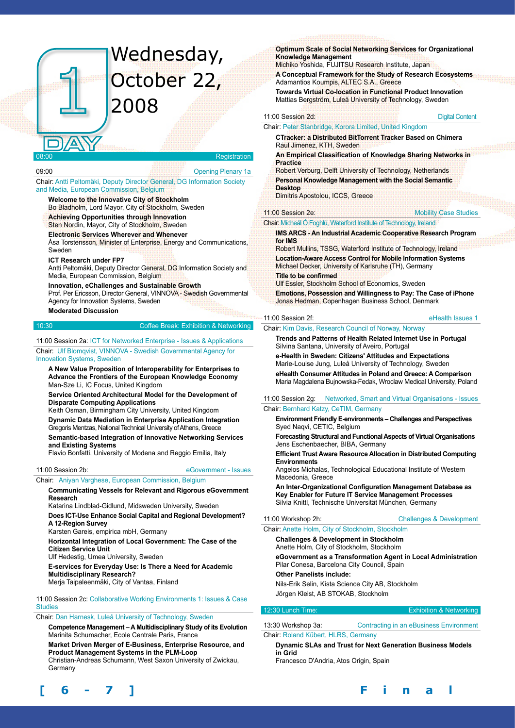# Wednesday, October 22, 2008

#### **Registration**

09:00 Opening Plenary 1a

#### Chair: Antti Peltomäki, Deputy Director General, DG Information Society and Media, European Commission, Belgium

**Welcome to the Innovative City of Stockholm** Bo Bladholm, Lord Mayor, City of Stockholm, Sweden

**Achieving Opportunities through Innovation** Sten Nordin, Mayor, City of Stockholm, Sweden

## **Electronic Services Wherever and Whenever**

Åsa Torstensson, Minister of Enterprise, Energy and Communications, Sweden

#### **ICT Research under FP7**

Antti Peltomäki, Deputy Director General, DG Information Society and Media, European Commission, Belgium

**Innovation, eChallenges and Sustainable Growth**

Prof. Per Ericsson, Director General, VINNOVA - Swedish Governmental Agency for Innovation Systems, Sweden

#### **Moderated Discussion**

10:30 Coffee Break: Exhibition & Networking

11:00 Session 2a: ICT for Networked Enterprise - Issues & Applications

Chair: Ulf Blomqvist, VINNOVA - Swedish Governmental Agency for Innovation Systems, Sweden

**A New Value Proposition of Interoperability for Enterprises to Advance the Frontiers of the European Knowledge Economy** Man-Sze Li, IC Focus, United Kingdom

**Service Oriented Architectural Model for the Development of Disparate Computing Applications**

Keith Osman, Birmingham City University, United Kingdom

**Dynamic Data Mediation in Enterprise Application Integration** Gregoris Mentzas, National Technical University of Athens, Greece

**Semantic-based Integration of Innovative Networking Services and Existing Systems**

Flavio Bonfatti, University of Modena and Reggio Emilia, Italy

#### 11:00 Session 2b: eGovernment - Issues

#### **Communicating Vessels for Relevant and Rigorous eGovernment Research**

Katarina Lindblad-Gidlund, Midsweden University, Sweden

Chair: Aniyan Varghese, European Commission, Belgium

**Does ICT-Use Enhance Social Capital and Regional Development? A 12-Region Survey** 

Karsten Gareis, empirica mbH, Germany

**Horizontal Integration of Local Government: The Case of the Citizen Service Unit**

Ulf Hedestig, Umea University, Sweden

**E-services for Everyday Use: Is There a Need for Academic Multidisciplinary Research?**

Merja Taipaleenmäki, City of Vantaa, Finland

11:00 Session 2c: Collaborative Working Environments 1: Issues & Case **Studies** 

#### Chair: Dan Harnesk, Luleå University of Technology, Sweden

**Competence Management – A Multidisciplinary Study of its Evolution** Marinita Schumacher, Ecole Centrale Paris, France

**Market Driven Merger of E-Business, Enterprise Resource, and Product Management Systems in the PLM-Loop**  Christian-Andreas Schumann, West Saxon University of Zwickau,

Germany

#### **Optimum Scale of Social Networking Services for Organizational Knowledge Management**

Michiko Yoshida, FUJITSU Research Institute, Japan **A Conceptual Framework for the Study of Research Ecosystems** Adamantios Koumpis, ALTEC S.A., Greece

**Towards Virtual Co-location in Functional Product Innovation** Mattias Bergström, Luleå University of Technology, Sweden

11:00 Session 2d: **Digital Content 2d:** Digital Content

#### Chair: Peter Stanbridge, Korora Limited, United Kingdom

**CTracker: a Distributed BitTorrent Tracker Based on Chimera** Raul Jimenez, KTH, Sweden

**An Empirical Classification of Knowledge Sharing Networks in Practice** Robert Verburg, Delft University of Technology, Netherlands

**Personal Knowledge Management with the Social Semantic Desktop** 

Dimitris Apostolou, ICCS, Greece

11:00 Session 2e: Mobility Case Studies

**IMS ARCS - An Industrial Academic Cooperative Research Program for IMS** 

Robert Mullins, TSSG, Waterford Institute of Technology, Ireland **Location-Aware Access Control for Mobile Information Systems**  Michael Decker, University of Karlsruhe (TH), Germany **Title to be confirmed** 

Ulf Essler, Stockholm School of Economics, Sweden

Chair: Mícheál Ó Foghlú, Waterford Institute of Technology, Ireland

**Emotions, Possession and Willingness to Pay: The Case of iPhone** Jonas Hedman, Copenhagen Business School, Denmark

#### 11:00 Session 2f: eHealth Issues 1

Chair: Kim Davis, Research Council of Norway, Norway

**Trends and Patterns of Health Related Internet Use in Portugal** Silvina Santana, University of Aveiro, Portugal

**e-Health in Sweden: Citizens' Attitudes and Expectations** Marie-Louise Jung, Luleå University of Technology, Sweden

**eHealth Consumer Attitudes in Poland and Greece: A Comparison** Maria Magdalena Bujnowska-Fedak, Wroclaw Medical University, Poland

11:00 Session 2g: Networked, Smart and Virtual Organisations - Issues

#### Chair: Bernhard Katzy, CeTIM, Germany

**Environment Friendly E-environments – Challenges and Perspectives** Syed Naqvi, CETIC, Belgium

**Forecasting Structural and Functional Aspects of Virtual Organisations** Jens Eschenbaecher, BIBA, Germany

**Efficient Trust Aware Resource Allocation in Distributed Computing Environments**

Angelos Michalas, Technological Educational Institute of Western Macedonia, Greece

**An Inter-Organizational Configuration Management Database as Key Enabler for Future IT Service Management Processes** Silvia Knittl, Technische Universität München, Germany

11:00 Workshop 2h: Challenges & Development

# Chair: Anette Holm, City of Stockholm, Stockholm

**Challenges & Development in Stockholm** Anette Holm, City of Stockholm, Stockholm

**eGovernment as a Transformation Agent in Local Administration**

Pilar Conesa, Barcelona City Council, Spain

**Other Panelists include:**

Nils-Erik Selin, Kista Science City AB, Stockholm Jörgen Kleist, AB STOKAB, Stockholm

#### 12:30 Lunch Time: Exhibition & Networking

13:30 Workshop 3a: Contracting in an eBusiness Environment Chair: Roland Kübert, HLRS, Germany

#### **Dynamic SLAs and Trust for Next Generation Business Models in Grid**

Francesco D'Andria, Atos Origin, Spain

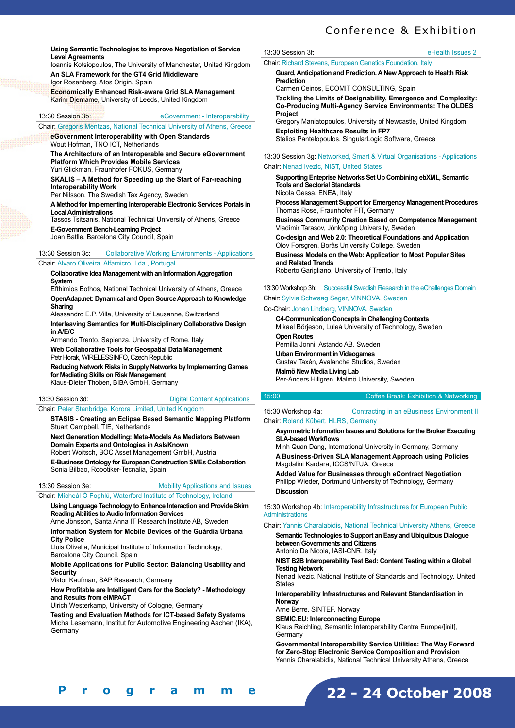# Conference & Exhibition

#### **Using Semantic Technologies to improve Negotiation of Service Level Agreements**

Ioannis Kotsiopoulos, The University of Manchester, United Kingdom **An SLA Framework for the GT4 Grid Middleware** Igor Rosenberg, Atos Origin, Spain

**Economically Enhanced Risk-aware Grid SLA Management**  Karim Djemame, University of Leeds, United Kingdom

#### 13:30 Session 3b: eGovernment - Interoperability

Chair: Gregoris Mentzas, National Technical University of Athens, Greece

**eGovernment Interoperability with Open Standards** Wout Hofman, TNO ICT, Netherlands

**The Architecture of an Interoperable and Secure eGovernment Platform Which Provides Mobile Services** Yuri Glickman, Fraunhofer FOKUS, Germany

**SKALIS – A Method for Speeding up the Start of Far-reaching Interoperability Work**

Per Nilsson, The Swedish Tax Agency, Sweden

**A Method for Implementing Interoperable Electronic Services Portals in Local Administrations**

Tassos Tsitsanis, National Technical University of Athens, Greece **E-Government Bench-Learning Project** Joan Batlle, Barcelona City Council, Spain

13:30 Session 3c: Collaborative Working Environments - Applications Chair: Alvaro Oliveira, Alfamicro, Lda., Portugal

**Collaborative Idea Management with an Information Aggregation System**

Efthimios Bothos, National Technical University of Athens, Greece **OpenAdap.net: Dynamical and Open Source Approach to Knowledge Sharing**

Alessandro E.P. Villa, University of Lausanne, Switzerland

**Interleaving Semantics for Multi-Disciplinary Collaborative Design in A/E/C**

Armando Trento, Sapienza, University of Rome, Italy

**Web Collaborative Tools for Geospatial Data Management** Petr Horak, WIRELESSINFO, Czech Republic

**Reducing Network Risks in Supply Networks by Implementing Games for Mediating Skills on Risk Management** Klaus-Dieter Thoben, BIBA GmbH, Germany

13:30 Session 3d: Digital Content Applications

#### Chair: Peter Stanbridge, Korora Limited, United Kingdom

**STASIS - Creating an Eclipse Based Semantic Mapping Platform** Stuart Campbell, TIE, Netherlands

**Next Generation Modelling: Meta-Models As Mediators Between Domain Experts and Ontologies in AsIsKnown**  Robert Woitsch, BOC Asset Management GmbH, Austria

**E-Business Ontology for European Construction SMEs Collaboration**  Sonia Bilbao, Robotiker-Tecnalia, Spain

# 13:30 Session 3e: Mobility Applications and Issues

Chair: Mícheál Ó Foghlú, Waterford Institute of Technology, Ireland

**Using Language Technology to Enhance Interaction and Provide Skim Reading Abilities to Audio Information Services**

Arne Jönsson, Santa Anna IT Research Institute AB, Sweden **Information System for Mobile Devices of the Guàrdia Urbana City Police** 

Lluis Olivella, Municipal Institute of Information Technology, Barcelona City Council, Spain

**Mobile Applications for Public Sector: Balancing Usability and Security** 

Viktor Kaufman, SAP Research, Germany

**How Profitable are Intelligent Cars for the Society? - Methodology and Results from eIMPACT**

Ulrich Westerkamp, University of Cologne, Germany

**Testing and Evaluation Methods for ICT-based Safety Systems** Micha Lesemann, Institut for Automotive Engineering Aachen (IKA), **Germany** 

#### 13:30 Session 3f: eHealth Issues 2

Chair: Richard Stevens, European Genetics Foundation, Italy

**Guard, Anticipation and Prediction. A New Approach to Health Risk Prediction** 

Carmen Ceinos, ECOMIT CONSULTING, Spain

**Tackling the Limits of Designability, Emergence and Complexity: Co-Producing Multi-Agency Service Environments: The OLDES Project**

Gregory Maniatopoulos, University of Newcastle, United Kingdom **Exploiting Healthcare Results in FP7** Stelios Pantelopoulos, SingularLogic Software, Greece

13:30 Session 3g: Networked, Smart & Virtual Organisations - Applications

#### Chair: Nenad Ivezic, NIST, United States

**Supporting Enteprise Networks Set Up Combining ebXML, Semantic Tools and Sectorial Standards**

Nicola Gessa, ENEA, Italy **Process Management Support for Emergency Management Procedures** 

Thomas Rose, Fraunhofer FIT, Germany **Business Community Creation Based on Competence Management**  Vladimir Tarasov, Jönköping University, Sweden

**Co-design and Web 2.0: Theoretical Foundations and Application** Olov Forsgren, Borås University College, Sweden

**Business Models on the Web: Application to Most Popular Sites and Related Trends**

Roberto Garigliano, University of Trento, Italy

13:30 Workshop 3h: Successful Swedish Research in the eChallenges Domain

Chair: Sylvia Schwaag Seger, VINNOVA, Sweden

Co-Chair: Johan Lindberg, VINNOVA, Sweden

**C4-Communication Concepts in Challenging Contexts** Mikael Börjeson, Luleå University of Technology, Sweden **Open Routes**  Pernilla Jonni, Astando AB, Sweden **Urban Environment in Videogames** Gustav Taxén, Avalanche Studios, Sweden **Malmö New Media Living Lab**  Per-Anders Hillgren, Malmö University, Sweden

#### 15:00 Coffee Break: Exhibition & Networking

15:30 Workshop 4a: Contracting in an eBusiness Environment II Chair: Roland Kübert, HLRS, Germany

**Asymmetric Information Issues and Solutions for the Broker Executing SLA-based Workflows**

Minh Quan Dang, International University in Germany, Germany **A Business-Driven SLA Management Approach using Policies**  Magdalini Kardara, ICCS/NTUA, Greece

**Added Value for Businesses through eContract Negotiation** Philipp Wieder, Dortmund University of Technology, Germany **Discussion** 

15:30 Workshop 4b: Interoperability Infrastructures for European Public **Administrations** 

Chair: Yannis Charalabidis, National Technical University Athens, Greece

**Semantic Technologies to Support an Easy and Ubiquitous Dialogue between Governments and Citizens** Antonio De Nicola, IASI-CNR, Italy

**NIST B2B Interoperability Test Bed: Content Testing within a Global Testing Network**

Nenad Ivezic, National Institute of Standards and Technology, United **States** 

**Interoperability Infrastructures and Relevant Standardisation in Norway**

Arne Berre, SINTEF, Norway

**SEMIC.EU: Interconnecting Europe**

Klaus Reichling, Semantic Interoperability Centre Europe/]init[, **Germany** 

**Governmental Interoperability Service Utilities: The Way Forward for Zero-Stop Electronic Service Composition and Provision** Yannis Charalabidis, National Technical University Athens, Greece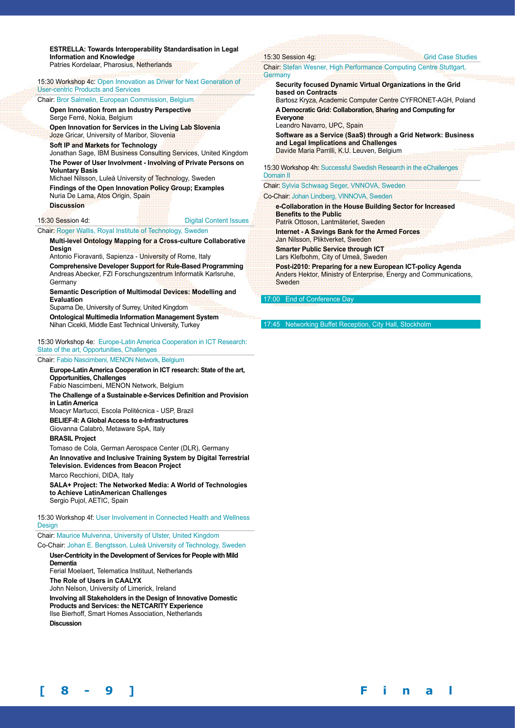**ESTRELLA: Towards Interoperability Standardisation in Legal Information and Knowledge**

Patries Kordelaar, Pharosius, Netherlands

15:30 Workshop 4c: Open Innovation as Driver for Next Generation of User-centric Products and Services

#### Chair: Bror Salmelin, European Commission, Belgium

**Open Innovation from an Industry Perspective** Serge Ferré, Nokia, Belgium

**Open Innovation for Services in the Living Lab Slovenia** Joze Gricar, University of Maribor, Slovenia

**Soft IP and Markets for Technology** Jonathan Sage, IBM Business Consulting Services, United Kingdom **The Power of User Involvment - Involving of Private Persons on** 

**Voluntary Basis** Michael Nilsson, Luleå University of Technology, Sweden

**Findings of the Open Innovation Policy Group; Examples** Nuria De Lama, Atos Origin, Spain

**Discussion**

15:30 Session 4d: Digital Content Issues

Chair: Roger Wallis, Royal Institute of Technology, Sweden

#### **Multi-level Ontology Mapping for a Cross-culture Collaborative Design**

Antonio Fioravanti, Sapienza - University of Rome, Italy

**Comprehensive Developer Support for Rule-Based Programming** Andreas Abecker, FZI Forschungszentrum Informatik Karlsruhe, **Germany** 

**Semantic Description of Multimodal Devices: Modelling and Evaluation** 

Suparna De, University of Surrey, United Kingdom

**Ontological Multimedia Information Management System**  Nihan Cicekli, Middle East Technical University, Turkey

15:30 Workshop 4e: Europe-Latin America Cooperation in ICT Research: State of the art, Opportunities, Challenges

#### Chair: Fabio Nascimbeni, MENON Network, Belgium

**Europe-Latin America Cooperation in ICT research: State of the art, Opportunities, Challenges** Fabio Nascimbeni, MENON Network, Belgium **The Challenge of a Sustainable e-Services Definition and Provision in Latin America** Moacyr Martucci, Escola Politécnica - USP, Brazil **BELIEF-II: A Global Access to e-Infrastructures** Giovanna Calabrò, Metaware SpA, Italy **BRASIL Project** Tomaso de Cola, German Aerospace Center (DLR), Germany **An Innovative and Inclusive Training System by Digital Terrestrial Television. Evidences from Beacon Project**

Marco Recchioni, DIDA, Italy

**SALA+ Project: The Networked Media: A World of Technologies to Achieve LatinAmerican Challenges** Sergio Pujol, AETIC, Spain

15:30 Workshop 4f: User Involvement in Connected Health and Wellness Design

Chair: Maurice Mulvenna, University of Ulster, United Kingdom Co-Chair: Johan E. Bengtsson, Luleå University of Technology, Sweden

**User-Centricity in the Development of Services for People with Mild Dementia**

Ferial Moelaert, Telematica Instituut, Netherlands **The Role of Users in CAALYX** John Nelson, University of Limerick, Ireland **Involving all Stakeholders in the Design of Innovative Domestic Products and Services: the NETCARITY Experience**  Ilse Bierhoff, Smart Homes Association, Netherlands **Discussion**

#### 15:30 Session 4g: Case Studies Case Studies Chair: Stefan Wesner, High Performance Computing Centre Stuttgart, **Germany Security focused Dynamic Virtual Organizations in the Grid based on Contracts** Bartosz Kryza, Academic Computer Centre CYFRONET-AGH, Poland **A Democratic Grid: Collaboration, Sharing and Computing for Everyone** Leandro Navarro, UPC, Spain **Software as a Service (SaaS) through a Grid Network: Business and Legal Implications and Challenges** Davide Maria Parrilli, K.U. Leuven, Belgium 15:30 Workshop 4h: Successful Swedish Research in the eChallenges Domain II Chair: Sylvia Schwaag Seger, VNNOVA, Sweden Co-Chair: Johan Lindberg, VINNOVA, Sweden **e-Collaboration in the House Building Sector for Increased Benefits to the Public** Patrik Ottoson, Lantmäteriet, Sweden **Internet - A Savings Bank for the Armed Forces** Jan Nilsson, Pliktverket, Sweden

**Smarter Public Service through ICT** Lars Klefbohm, City of Umeå, Sweden

**Post-i2010: Preparing for a new European ICT-policy Agenda** Anders Hektor, Ministry of Enterprise, Energy and Communications, **Sweden** 

17:00 End of Conference D

17:45 Networking Buffet Reception, City H

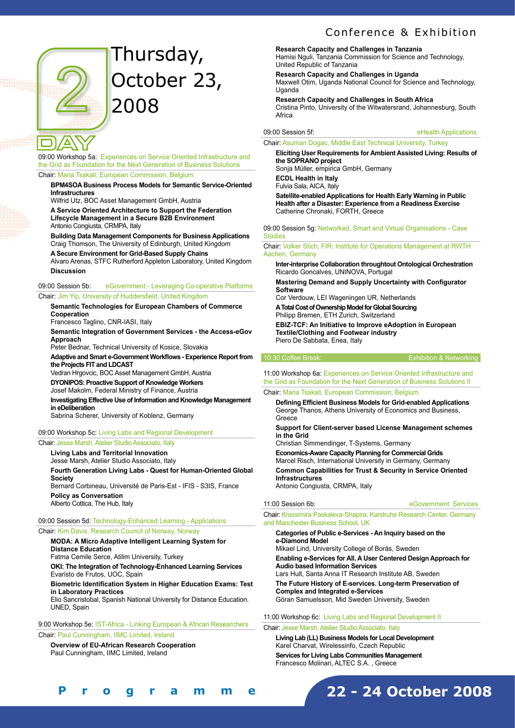# Thursday, October 23, 2008



#### 09:00 Workshop 5a: Experiences on Service Oriented Infrastructure and the Grid as Foundation for the Next Generation of Business Solutions

Chair: Maria Tsakali, European Commission, Belgium

#### **BPM4SOA Business Process Models for Semantic Service-Oriented Infrastructures**

Wilfrid Utz, BOC Asset Management GmbH, Austria

**A Service Oriented Architecture to Support the Federation Lifecycle Management in a Secure B2B Environment** Antonio Congiusta, CRMPA, Italy

**Building Data Management Components for Business Applications** Craig Thomson, The University of Edinburgh, United Kingdom

**A Secure Environment for Grid-Based Supply Chains** Alvaro Arenas, STFC Rutherford Appleton Laboratory, United Kingdom

**Discussion**

#### 09:00 Session 5b: eGovernment - Leveraging Co-operative Platforms

#### Chair: Jim Yip, University of Huddersfield, United Kingdom

**Semantic Technologies for European Chambers of Commerce Cooperation**

Francesco Taglino, CNR-IASI, Italy

**Semantic Integration of Government Services - the Access-eGov Approach**

Peter Bednar, Technical University of Kosice, Slovakia

**Adaptive and Smart e-Government Workflows - Experience Report from the Projects FIT and LDCAST** 

Vedran Hrgovcic, BOC Asset Management GmbH, Austria **DYONIPOS: Proactive Support of Knowledge Workers** Josef Makolm, Federal Ministry of Finance, Austria **Investigating Effective Use of Information and Knowledge Management in eDeliberation**

Sabrina Scherer, University of Koblenz, Germany

#### 09:00 Workshop 5c: Living Labs and Regional Development

#### Chair: Jesse Marsh, Atelier Studio Associato, Italy

**Living Labs and Territorial Innovation** Jesse Marsh, Atelier Studio Associato, Italy **Fourth Generation Living Labs - Quest for Human-Oriented Global Society**  Bernard Corbineau, Université de Paris-Est - IFIS - S3IS, France **Policy as Conversation**  Alberto Cottica, The Hub, Italy

09:00 Session 5d: Technology-Enhanced Learning - Applications Chair: Kim Davis, Research Council of Norway, Norway

**MODA: A Micro Adaptive Intelligent Learning System for Distance Education**

Fatma Cemile Serce, Atilim University, Turkey

**OKI: The Integration of Technology-Enhanced Learning Services** Evaristo de Frutos, UOC, Spain

#### **Biometric Identification System in Higher Education Exams: Test in Laboratory Practices**

Elio Sancristobal, Spanish National University for Distance Education. UNED, Spain

9:00 Workshop 5e: IST-Africa - Linking European & African Researchers

Chair: Paul Cunningham, IIMC Limited, Ireland

**[ 8 - 9 ] F i n a l P r o g r a m m e**

**Overview of EU-African Research Cooperation**  Paul Cunningham, IIMC Limited, Ireland

# Conference & Exhibition

## **Research Capacity and Challenges in Tanzania**

Hamisi Nguli, Tanzania Commission for Science and Technology, United Republic of Tanzania

#### **Research Capacity and Challenges in Uganda**

Maxwell Otim, Uganda National Council for Science and Technology, Uganda

#### **Research Capacity and Challenges in South Africa**

Cristina Pinto, University of the Witwatersrand, Johannesburg, South Africa

#### 09:00 Session 5f: eHealth Applications

#### Chair: Asuman Dogac, Middle East Technical University, Turkey

**Eliciting User Requirements for Ambient Assisted Living: Results of the SOPRANO project**

Sonja Müller, empirica GmbH, Germany

**ECDL Health in Italy**

Fulvia Sala, AICA, Italy

**Satellite-enabled Applications for Health Early Warning in Public Health after a Disaster: Experience from a Readiness Exercise**  Catherine Chronaki, FORTH, Greece

09:00 Session 5g: Networked, Smart and Virtual Organisations - Case **Studies** 

Chair: Volker Stich, FIR: Institute for Operations Management at RWTH Aachen, Germany

**Inter-interprise Collaboration throughtout Ontological Orchestration** Ricardo Goncalves, UNINOVA, Portugal

**Mastering Demand and Supply Uncertainty with Configurator Software**

Cor Verdouw, LEI Wageningen UR, Netherlands **A Total Cost of Ownership Model for Global Sourcing**  Philipp Bremen, ETH Zurich, Switzerland

**EBIZ-TCF: An Initiative to Improve eAdoption in European Textile/Clothing and Footwear industry** Piero De Sabbata, Enea, Italy

10:30 Coffee Break: Exhibition & Networking

11:00 Workshop 6a: Experiences on Service Oriented Infrastructure and the Grid as Foundation for the Next Generation of Business Solutions II Chair: Maria Tsakali, European Commission, Belgium

**Defining Efficient Business Models for Grid-enabled Applications** George Thanos, Athens University of Economics and Business, Greece

**Support for Client-server based License Management schemes in the Grid**

Christian Simmendinger, T-Systems, Germany

**Economics-Aware Capacity Planning for Commercial Grids** Marcel Risch, International University in Germany, Germany **Common Capabilities for Trust & Security in Service Oriented Infrastructures**  Antonio Congiusta, CRMPA, Italy

11:00 Session 6b: eGovernment Services

Chair: Krassimira Paskaleva-Shapira, Karslruhe Research Center, Germany and Manchester Business School, UK

#### **Categories of Public e-Services - An Inquiry based on the e-Diamond Model**

Mikael Lind, University College of Borås, Sweden **Enabling e-Services for All. A User Centered Design Approach for Audio based Information Services** Lars Hult, Santa Anna IT Research Institute AB, Sweden **The Future History of E-services. Long-term Preservation of Complex and Integrated e-Services** Göran Samuelsson, Mid Sweden University, Sweden

**22 - 24 October 2008**

11:00 Workshop 6c: Living Labs and Regional Development II

#### Chair: Jesse Marsh, Atelier Studio Associato, Italy

**Living Lab (LL) Business Models for Local Development** Karel Charvat, Wirelessinfo, Czech Republic **Services for Living Labs Communities Management**  Francesco Molinari, ALTEC S.A. , Greece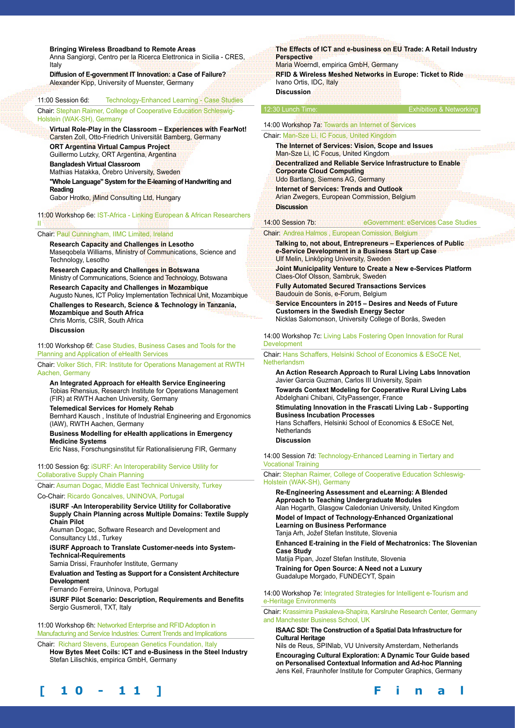#### **Bringing Wireless Broadband to Remote Areas**

Anna Sangiorgi, Centro per la Ricerca Elettronica in Sicilia - CRES, Italy

**Diffusion of E-government IT Innovation: a Case of Failure?**  Alexander Kipp, University of Muenster, Germany

#### 11:00 Session 6d: Technology-Enhanced Learning - Case Studies

Chair: Stephan Raimer, College of Cooperative Education Schleswig-Holstein (WAK-SH), Germany

**Virtual Role-Play in the Classroom – Experiences with FearNot!** Carsten Zoll, Otto-Friedrich Universität Bamberg, Germany **ORT Argentina Virtual Campus Project** Guillermo Lutzky, ORT Argentina, Argentina **Bangladesh Virtual Classroom** Mathias Hatakka, Örebro University, Sweden **"Whole Language" System for the E-learning of Handwriting and Reading** 

Gabor Hrotko, jMind Consulting Ltd, Hungary

11:00 Workshop 6e: IST-Africa - Linking European & African Researchers II

#### Chair: Paul Cunningham, IIMC Limited, Ireland

**Research Capacity and Challenges in Lesotho**  Maseqobela Williams, Ministry of Communications, Science and Technology, Lesotho

**Research Capacity and Challenges in Botswana** Ministry of Communications, Science and Technology, Botswana **Research Capacity and Challenges in Mozambique** Augusto Nunes, ICT Policy Implementation Technical Unit, Mozambique **Challenges to Research, Science & Technology in Tanzania, Mozambique and South Africa** Chris Morris, CSIR, South Africa

**Discussion**

11:00 Workshop 6f: Case Studies, Business Cases and Tools for the Planning and Application of eHealth Services

Chair: Volker Stich, FIR: Institute for Operations Management at RWTH Aachen, Germany

**An Integrated Approach for eHealth Service Engineering** Tobias Rhensius, Research Institute for Operations Management (FIR) at RWTH Aachen University, Germany

**Telemedical Services for Homely Rehab**  Bernhard Kausch , Institute of Industrial Engineering and Ergonomics (IAW), RWTH Aachen, Germany

**Business Modelling for eHealth applications in Emergency Medicine Systems** 

Eric Nass, Forschungsinstitut für Rationalisierung FIR, Germany

11:00 Session 6g: iSURF: An Interoperability Service Utility for Collaborative Supply Chain Planning

Chair: Asuman Dogac, Middle East Technical University, Turkey

Co-Chair: Ricardo Goncalves, UNINOVA, Portugal

**iSURF -An Interoperability Service Utility for Collaborative Supply Chain Planning across Multiple Domains: Textile Supply Chain Pilot**

Asuman Dogac, Software Research and Development and Consultancy Ltd., Turkey

**iSURF Approach to Translate Customer-needs into System-Technical-Requirements**

Samia Drissi, Fraunhofer Institute, Germany

**Evaluation and Testing as Support for a Consistent Architecture Development** 

Fernando Ferreira, Uninova, Portugal

**iSURF Pilot Scenario: Description, Requirements and Benefits** Sergio Gusmeroli, TXT, Italy

11:00 Workshop 6h: Networked Enterprise and RFID Adoption in Manufacturing and Service Industries: Current Trends and Implications

Chair: Richard Stevens, European Genetics Foundation, Italy **How Bytes Meet Coils: ICT and e-Business in the Steel Industry**  Stefan Lilischkis, empirica GmbH, Germany

#### **The Effects of ICT and e-business on EU Trade: A Retail Industry Perspective**  Maria Woerndl, empirica GmbH, Germany

**RFID & Wireless Meshed Networks in Europe: Ticket to Ride**  Ivano Ortis, IDC, Italy **Discussion**

#### 12:30 Lunch Time: Exhibition & Networking

#### 14:00 Workshop 7a: Towards an Internet of Services Chair: Man-Sze Li, IC Focus, United Kingdom

**The Internet of Services: Vision, Scope and Issues**

Man-Sze Li, IC Focus, United Kingdom **Decentralized and Reliable Service Infrastructure to Enable Corporate Cloud Computing**

Udo Bartlang, Siemens AG, Germany **Internet of Services: Trends and Outlook** Arian Zwegers, European Commission, Belgium

**Discussion**

14:00 Session 7b: eGovernment: eServices Case Studies

#### Chair: Andrea Halmos , European Comission, Belgium

**Talking to, not about, Entrepreneurs – Experiences of Public e-Service Development in a Business Start up Case**  Ulf Melin, Linköping University, Sweden

**Joint Municipality Venture to Create a New e-Services Platform**  Claes-Olof Olsson, Sambruk, Sweden

**Fully Automated Secured Transactions Services**  Baudouin de Sonis, e-Forum, Belgium

**Service Encounters in 2015 – Desires and Needs of Future Customers in the Swedish Energy Sector**  Nicklas Salomonson, University College of Borås, Sweden

14:00 Workshop 7c: Living Labs Fostering Open Innovation for Rural Development

Chair: Hans Schaffers, Helsinki School of Economics & ESoCE Net, Netherlandsm

**An Action Research Approach to Rural Living Labs Innovation**  Javier Garcia Guzman, Carlos III University, Spain

**Towards Context Modeling for Cooperative Rural Living Labs**  Abdelghani Chibani, CityPassenger, France

**Stimulating Innovation in the Frascati Living Lab - Supporting Business Incubation Processes** 

Hans Schaffers, Helsinki School of Economics & ESoCE Net, **Netherlands** 

**Discussion**

14:00 Session 7d: Technology-Enhanced Learning in Tiertary and Vocational Training

Chair: Stephan Raimer, College of Cooperative Education Schleswig-Holstein (WAK-SH), Germany

**Re-Engineering Assessment and eLearning: A Blended Approach to Teaching Undergraduate Modules**  Alan Hogarth, Glasgow Caledonian University, United Kingdom **Model of Impact of Technology-Enhanced Organizational** 

**Learning on Business Performance** Tanja Arh, Jožef Stefan Institute, Slovenia

**Enhanced E-training in the Field of Mechatronics: The Slovenian Case Study**

Matija Pipan, Jozef Stefan Institute, Slovenia

**Training for Open Source: A Need not a Luxury** Guadalupe Morgado, FUNDECYT, Spain

14:00 Workshop 7e: Integrated Strategies for Intelligent e-Tourism and e-Heritage Environments

Chair: Krassimira Paskaleva-Shapira, Karslruhe Research Center, Germany and Manchester Business School, UK

**ISAAC SDI: The Construction of a Spatial Data Infrastructure for Cultural Heritage**

Nils de Reus, SPINlab, VU University Amsterdam, Netherlands **Encouraging Cultural Exploration: A Dynamic Tour Guide based on Personalised Contextual Information and Ad-hoc Planning**  Jens Keil, Fraunhofer Institute for Computer Graphics, Germany



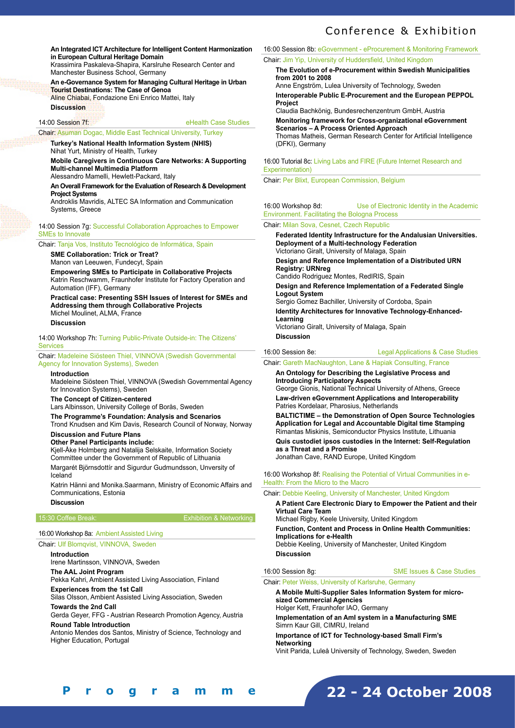**An Integrated ICT Architecture for Intelligent Content Harmonization in European Cultural Heritage Domain**

Krassimira Paskaleva-Shapira, Karslruhe Research Center and Manchester Business School, Germany

#### **An e-Governance System for Managing Cultural Heritage in Urban Tourist Destinations: The Case of Genoa** Aline Chiabai, Fondazione Eni Enrico Mattei, Italy

**Discussion**

14:00 Session 7f: eHealth Case Studies

#### Chair: Asuman Dogac, Middle East Technical University, Turkey **Turkey's National Health Information System (NHIS)**

Nihat Yurt, Ministry of Health, Turkey

**Mobile Caregivers in Continuous Care Networks: A Supporting Multi-channel Multimedia Platform** 

Alessandro Mamelli, Hewlett-Packard, Italy

#### **An Overall Framework for the Evaluation of Research & Development Project Systems**

Androklis Mavridis, ALTEC SA Information and Communication Systems, Greece

14:00 Session 7g: Successful Collaboration Approaches to Empower SMEs to Innovate

Chair: Tanja Vos, Instituto Tecnológico de Informática, Spain

**SME Collaboration: Trick or Treat?** 

Manon van Leeuwen, Fundecyt, Spain **Empowering SMEs to Participate in Collaborative Projects**  Katrin Reschwamm, Fraunhofer Institute for Factory Operation and Automation (IFF), Germany

**Practical case: Presenting SSH Issues of Interest for SMEs and Addressing them through Collaborative Projects**  Michel Moulinet, ALMA, France

**Discussion**

14:00 Workshop 7h: Turning Public-Private Outside-in: The Citizens' **Services** 

Chair: Madeleine Siösteen Thiel, VINNOVA (Swedish Governmental Agency for Innovation Systems), Sweden

#### **Introduction**

Madeleine Siösteen Thiel, VINNOVA (Swedish Governmental Agency for Innovation Systems), Sweden

**The Concept of Citizen-centered** 

Lars Albinsson, University College of Borås, Sweden

**The Programme's Foundation: Analysis and Scenarios**

Trond Knudsen and Kim Davis, Research Council of Norway, Norway **Discussion and Future Plans** 

#### **Other Panel Participants include:**

Kjell-Åke Holmberg and Natalija Selskaite, Information Society Committee under the Government of Republic of Lithuania Margarét Björnsdottír and Sigurdur Gudmundsson, Unversity of

Iceland

Katrin Hänni and Monika.Saarmann, Ministry of Economic Affairs and Communications, Estonia

### **Discussion**

15:30 Coffee Break: Exhibition & Networking

#### 16:00 Workshop 8a: Ambient Assisted Living

Chair: Ulf Blomqvist, VINNOVA, Sweden

# **Introduction**

Irene Martinsson, VINNOVA, Sweden

**The AAL Joint Program** 

Pekka Kahri, Ambient Assisted Living Association, Finland

#### **Experiences from the 1st Call**

Silas Olsson, Ambient Assisted Living Association, Sweden

**Towards the 2nd Call** Gerda Geyer, FFG - Austrian Research Promotion Agency, Austria

#### **Round Table Introduction**

Antonio Mendes dos Santos, Ministry of Science, Technology and Higher Education, Portugal

# Conference & Exhibition

16:00 Session 8b: eGovernment - eProcurement & Monitoring Framework Chair: Jim Yip, University of Huddersfield, United Kingdom

**The Evolution of e-Procurement within Swedish Municipalities from 2001 to 2008**  Anne Engström, Lulea University of Technology, Sweden

**Interoperable Public E-Procurement and the European PEPPOL Project** 

Claudia Bachkönig, Bundesrechenzentrum GmbH, Austria **Monitoring framework for Cross-organizational eGovernment Scenarios – A Process Oriented Approach**  Thomas Matheis, German Research Center for Artificial Intelligence (DFKI), Germany

16:00 Tutorial 8c: Living Labs and FIRE (Future Internet Research and Experimentation)

Chair: Per Blixt, European Commission, Belgium

| 16:00 Workshop 8d:                            | Use of Electronic Identity in the Academic |  |
|-----------------------------------------------|--------------------------------------------|--|
| Environment. Facilitating the Bologna Process |                                            |  |
| Chair: Milan Sova, Cesnet, Czech Republic     |                                            |  |

**Federated Identity Infrastructure for the Andalusian Universities. Deployment of a Multi-technology Federation**  Victoriano Giralt, University of Malaga, Spain

**Design and Reference Implementation of a Distributed URN Registry: URNreg** 

Candido Rodriguez Montes, RedIRIS, Spain

**Design and Reference Implementation of a Federated Single Logout System** 

Sergio Gomez Bachiller, University of Cordoba, Spain

**Identity Architectures for Innovative Technology-Enhanced-Learning** 

Victoriano Giralt, University of Malaga, Spain **Discussion**

16:00 Session 8e: Legal Applications & Case Studies

Chair: Gareth MacNaughton, Lane & Hapiak Consulting, France

**An Ontology for Describing the Legislative Process and Introducing Participatory Aspects**  George Gionis, National Technical University of Athens, Greece

**Law-driven eGovernment Applications and Interoperability**  Patries Kordelaar, Pharosius, Netherlands

**BALTICTIME – the Demonstration of Open Source Technologies Application for Legal and Accountable Digital time Stamping**  Rimantas Miskinis, Semiconductor Physics Institute, Lithuania **Quis custodiet ipsos custodies in the Internet: Self-Regulation as a Threat and a Promise** 

Jonathan Cave, RAND Europe, United Kingdom

16:00 Workshop 8f: Realising the Potential of Virtual Communities in e-Health: From the Micro to the Macro

#### Chair: Debbie Keeling, University of Manchester, United Kingdom

**A Patient Care Electronic Diary to Empower the Patient and their Virtual Care Team**  Michael Rigby, Keele University, United Kingdom **Function, Content and Process in Online Health Communities: Implications for e-Health**  Debbie Keeling, University of Manchester, United Kingdom **Discussion** 

#### 16:00 Session 8g: SME Issues & Case Studies

## Chair: Peter Weiss, University of Karlsruhe, Germany

**A Mobile Multi-Supplier Sales Information System for microsized Commercial Agencies** 

Holger Kett, Fraunhofer IAO, Germany

**Implementation of an AmI system in a Manufacturing SME**  Simrn Kaur Gill, CIMRU, Ireland

**Importance of ICT for Technology-based Small Firm's Networking** 

Vinit Parida, Luleå University of Technology, Sweden, Sweden

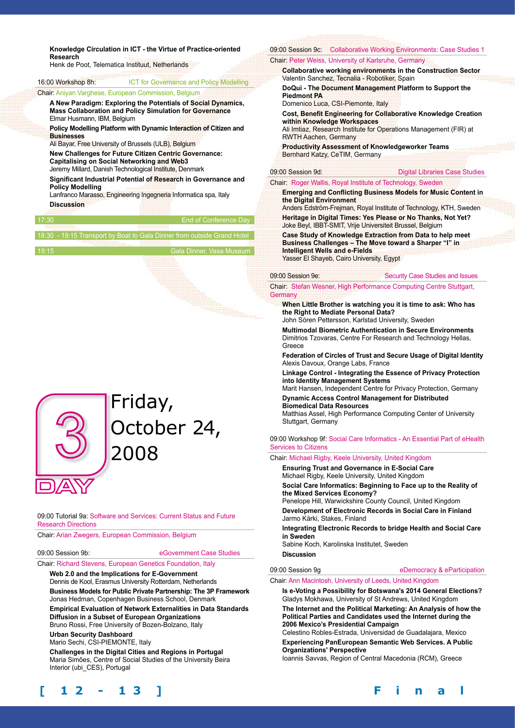**Knowledge Circulation in ICT - the Virtue of Practice-oriented Research** 

| 1159561 UH                                                        | Henk de Poot, Telematica Instituut, Netherlands                                                            | <b>Chair Pe</b> |
|-------------------------------------------------------------------|------------------------------------------------------------------------------------------------------------|-----------------|
|                                                                   |                                                                                                            | Colla<br>Valer  |
| 16:00 Workshop 8h:                                                | <b>ICT for Governance and Policy Modelling</b>                                                             | DoQı            |
|                                                                   | <b>Chair: Aniyan Varghese, European Commission, Belgium</b>                                                | Piedi           |
|                                                                   | A New Paradigm: Exploring the Potentials of Social Dynamics,                                               |                 |
|                                                                   | <b>Mass Collaboration and Policy Simulation for Governance</b>                                             | Cost            |
| Elmar Husmann, IBM, Belgium                                       |                                                                                                            | withi           |
| Policy Modelling Platform with Dynamic Interaction of Citizen and |                                                                                                            | Ali Im          |
| <b>Businesses</b>                                                 |                                                                                                            | <b>RWT</b>      |
| Ali Bayar, Free University of Brussels (ULB), Belgium             |                                                                                                            | Prod            |
|                                                                   | <b>New Challenges for Future Citizen Centric Governance:</b><br>Capitalising on Social Networking and Web3 | <b>Bern</b>     |
| Jeremy Millard, Danish Technological Institute, Denmark           |                                                                                                            | 09:00 Ses       |
|                                                                   | Significant Industrial Potential of Research in Governance and                                             | Chair: Ro       |
| <b>Policy Modelling</b>                                           | Lanfranco Marasso, Engineering Ingegneria Informatica spa, Italy                                           | Emer<br>the D   |
| <b>Discussion</b>                                                 |                                                                                                            | Ande            |
| 17:30                                                             | End of Conference Day                                                                                      | <b>Herit</b>    |
|                                                                   |                                                                                                            | <b>Joke</b>     |
|                                                                   | 18:30 - 19:15 Transport by Boat to Gala Dinner from outside Grand Hotel                                    | Case            |

# 19:15 Gala Dinner, Vasa Museum



09:00 Tutorial 9a: Software and Services: Current Status and Future Research Directions

Chair: Arian Zwegers, European Commission, Belgium

09:00 Session 9b: eGovernment Case Studies

Chair: Richard Stevens, European Genetics Foundation, Italy

**Web 2.0 and the Implications for E-Government**  Dennis de Kool, Erasmus University Rotterdam, Netherlands **Business Models for Public Private Partnership: The 3P Framework**  Jonas Hedman, Copenhagen Business School, Denmark **Empirical Evaluation of Network Externalities in Data Standards Diffusion in a Subset of European Organizations** 

Bruno Rossi, Free University of Bozen-Bolzano, Italy

**Urban Security Dashboard**  Mario Sechi, CSI-PIEMONTE, Italy

**Challenges in the Digital Cities and Regions in Portugal**  Maria Simões, Centre of Social Studies of the University Beira

# Interior (ubi\_CES), Portugal

#### 09:00 Session 9c: Collaborative Working Environments: Case Studies 1 ter Weiss, University of Karlsruhe, Germany **Iborative working environments in the Construction Sector** tin Sanchez, Tecnalia - Robotiker, Spain **DoGui Example 1 Management Platform to Support the** mont **PA**

enico Luca, CSI-Piemonte, Italy

**Benefit Engineering for Collaborative Knowledge Creation with Knowledge Workspaces** 

Itiaz, Research Institute for Operations Management (FIR) at H Aachen, Germany

**Productivity Assessment of Knowledgeworker Teams**  ard Katzy, CeTIM, Germany

ssion 9d: **Digital Libraries Case Studies** 

**Daer Wallis, Royal Institute of Technology, Sweden** 

## **Eging and Conflicting Business Models for Music Content in the Digital Environment**

rs Edström-Frejman, Royal Institute of Technology, KTH, Sweden **Heritage in Digital Times: Yes Please or No Thanks, Not Yet?**  Beyl, IBBT-SMIT, Vrije Universiteit Brussel, Belgium

**Study of Knowledge Extraction from Data to help meet Business Challenges – The Move toward a Sharper "I" in Intelligent Wells and e-Fields**  Yasser El Shayeb, Cairo University, Egypt

09:00 Session 9e: Security Case Studies and Issues

Chair: Stefan Wesner, High Performance Computing Centre Stuttgart, **Germany** 

**When Little Brother is watching you it is time to ask: Who has the Right to Mediate Personal Data?** 

John Sören Pettersson, Karlstad University, Sweden

**Multimodal Biometric Authentication in Secure Environments**  Dimitrios Tzovaras, Centre For Research and Technology Hellas, Greece

**Federation of Circles of Trust and Secure Usage of Digital Identity**  Alexis Davoux, Orange Labs, France

**Linkage Control - Integrating the Essence of Privacy Protection into Identity Management Systems** 

Marit Hansen, Independent Centre for Privacy Protection, Germany **Dynamic Access Control Management for Distributed Biomedical Data Resources** 

Matthias Assel, High Performance Computing Center of University Stuttgart, Germany

09:00 Workshop 9f: Social Care Informatics - An Essential Part of eHealth Services to Citizens

Chair: Michael Rigby, Keele University, United Kingdom

**Ensuring Trust and Governance in E-Social Care**  Michael Rigby, Keele University, United Kingdom

**Social Care Informatics: Beginning to Face up to the Reality of the Mixed Services Economy?** 

Penelope Hill, Warwickshire County Council, United Kingdom **Development of Electronic Records in Social Care in Finland** Jarmo Kärki, Stakes, Finland

**Integrating Electronic Records to bridge Health and Social Care in Sweden**

Sabine Koch, Karolinska Institutet, Sweden

## **Discussion**

09:00 Session 9g eDemocracy & eParticipation

Chair: Ann Macintosh, University of Leeds, United Kingdom

**Is e-Voting a Possibility for Botswana's 2014 General Elections?**  Gladys Mokhawa, University of St Andrews, United Kingdom **The Internet and the Political Marketing: An Analysis of how the Political Parties and Candidates used the Internet during the 2006 Mexico's Presidential Campaign** 

Celestino Robles-Estrada, Universidad de Guadalajara, Mexico **Experiencing PanEuropean Semantic Web Services. A Public Organizations' Perspective** 

Ioannis Savvas, Region of Central Macedonia (RCM), Greece

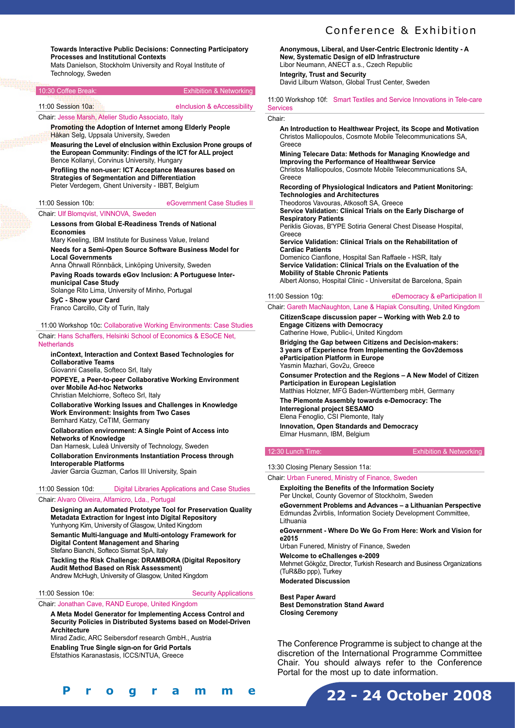# Conference & Exhibition

**Towards Interactive Public Decisions: Connecting Participatory Processes and Institutional Contexts**  Mats Danielson, Stockholm University and Royal Institute of

Technology, Sweden

| 10:30 Coffee Break:                                 | <b>Exhibition &amp; Networking</b>                             |
|-----------------------------------------------------|----------------------------------------------------------------|
| 11:00 Session 10a:                                  | elnclusion & eAccessibility                                    |
| Chair: Jesse Marsh, Atelier Studio Associato, Italy |                                                                |
|                                                     | <b>Promoting the Adoption of Internet among Elderly People</b> |
| Håkan Selg, Uppsala University, Sweden              |                                                                |

**Measuring the Level of eInclusion within Exclusion Prone groups of the European Community: Findings of the ICT for ALL project**  Bence Kollanyi, Corvinus University, Hungary

**Profiling the non-user: ICT Acceptance Measures based on Strategies of Segmentation and Differentiation**  Pieter Verdegem, Ghent University - IBBT, Belgium

11:00 Session 10b: eGovernment Case Studies II

#### Chair: Ulf Blomqvist, VINNOVA, Sweden

**Lessons from Global E-Readiness Trends of National Economies**  Mary Keeling, IBM Institute for Business Value, Ireland

**Needs for a Semi-Open Source Software Business Model for Local Governments**  Anna Öhrwall Rönnbäck, Linköping University, Sweden

**Paving Roads towards eGov Inclusion: A Portuguese Intermunicipal Case Study** 

Solange Rito Lima, University of Minho, Portugal **SyC - Show your Card** 

Franco Carcillo, City of Turin, Italy

11:00 Workshop 10c: Collaborative Working Environments: Case Studies Chair: Hans Schaffers, Helsinki School of Economics & ESoCE Net,

# **Netherlands**

**inContext, Interaction and Context Based Technologies for Collaborative Teams** 

Giovanni Casella, Softeco Srl, Italy

**POPEYE, a Peer-to-peer Collaborative Working Environment over Mobile Ad-hoc Networks** 

Christian Melchiorre, Softeco Srl, Italy

**Collaborative Working Issues and Challenges in Knowledge Work Environment: Insights from Two Cases**  Bernhard Katzy, CeTIM, Germany

**Collaboration environment: A Single Point of Access into Networks of Knowledge** 

Dan Harnesk, Luleå University of Technology, Sweden **Collaboration Environments Instantiation Process through Interoperable Platforms**  Javier Garcia Guzman, Carlos III University, Spain

## 11:00 Session 10d: Digital Libraries Applications and Case Studies

#### Chair: Alvaro Oliveira, Alfamicro, Lda., Portugal

**Designing an Automated Prototype Tool for Preservation Quality Metadata Extraction for Ingest into Digital Repository**  Yunhyong Kim, University of Glasgow, United Kingdom

**Semantic Multi-language and Multi-ontology Framework for Digital Content Management and Sharing**  Stefano Bianchi, Softeco Sismat SpA, Italy

**Tackling the Risk Challenge: DRAMBORA (Digital Repository Audit Method Based on Risk Assessment)**  Andrew McHugh, University of Glasgow, United Kingdom

11:00 Session 10e: Security Applications

Chair: Jonathan Cave, RAND Europe, United Kingdom

**A Meta Model Generator for Implementing Access Control and Security Policies in Distributed Systems based on Model-Driven Architecture** 

Mirad Zadic, ARC Seibersdorf research GmbH., Austria **Enabling True Single sign-on for Grid Portals** 

Efstathios Karanastasis, ICCS/NTUA, Greece

| Programme |
|-----------|
|-----------|

**Anonymous, Liberal, and User-Centric Electronic Identity - A New, Systematic Design of eID Infrastructure**  Libor Neumann, ANECT a.s., Czech Republic **Integrity, Trust and Security**  David Lilburn Watson, Global Trust Center, Sweden

11:00 Workshop 10f: Smart Textiles and Service Innovations in Tele-care **Services** 

#### Chair:

**An Introduction to Healthwear Project, its Scope and Motivation**  Christos Malliopoulos, Cosmote Mobile Telecommunications SA, Greece

**Mining Telecare Data: Methods for Managing Knowledge and Improving the Performance of Healthwear Service**  Christos Malliopoulos, Cosmote Mobile Telecommunications SA, **Greece** 

**Recording of Physiological Indicators and Patient Monitoring: Technologies and Architectures**  Theodoros Vavouras, Atkosoft SA, Greece **Service Validation: Clinical Trials on the Early Discharge of** 

**Respiratory Patients**  Periklis Giovas, B'YPE Sotiria General Chest Disease Hospital,

**Greece Service Validation: Clinical Trials on the Rehabilitation of Cardiac Patients**  Domenico Cianflone, Hospital San Raffaele - HSR, Italy **Service Validation: Clinical Trials on the Evaluation of the** 

**Mobility of Stable Chronic Patients**  Albert Alonso, Hospital Clinic - Universitat de Barcelona, Spain

#### 11:00 Session 10g: eDemocracy & eParticipation II

## Chair: Gareth MacNaughton, Lane & Hapiak Consulting, United Kingdom

**CitizenScape discussion paper – Working with Web 2.0 to Engage Citizens with Democracy** 

Catherine Howe, Public-i, United Kingdom **Bridging the Gap between Citizens and Decision-makers:** 

**3 years of Experience from Implementing the Gov2demoss eParticipation Platform in Europe**  Yasmin Mazhari, Gov2u, Greece

**Consumer Protection and the Regions – A New Model of Citizen Participation in European Legislation** 

Matthias Holzner, MFG Baden-Württemberg mbH, Germany **The Piemonte Assembly towards e-Democracy: The Interregional project SESAMO** 

Elena Fenoglio, CSI Piemonte, Italy **Innovation, Open Standards and Democracy**  Elmar Husmann, IBM, Belgium

#### 12:30 Lunch Time: Exhibition & Networking

13:30 Closing Plenary Session 11a:

Chair: Urban Funered, Ministry of Finance, Sweden

**Exploiting the Benefits of the Information Society**  Per Unckel, County Governor of Stockholm, Sweden

**eGovernment Problems and Advances – a Lithuanian Perspective**  Edmundas Žvirblis, Information Society Development Committee, Lithuania

**eGovernment - Where Do We Go From Here: Work and Vision for e2015** 

Urban Funered, Ministry of Finance, Sweden

**Welcome to eChallenges e-2009**

Mehmet Gökgöz, Director, Turkish Research and Business Organizations (TuR&Bo ppp), Turkey

**Moderated Discussion**

**Best Paper Award Best Demonstration Stand Award Closing Ceremony**

The Conference Programme is subject to change at the discretion of the International Programme Committee Chair. You should always refer to the Conference Portal for the most up to date information.

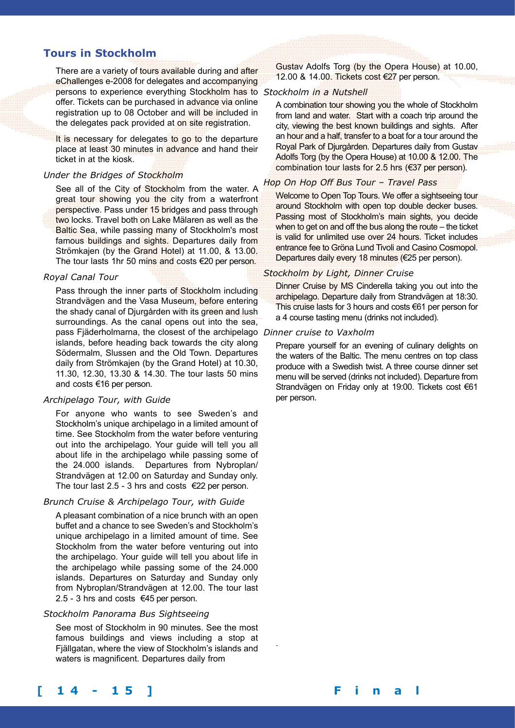# **Tours in Stockholm**

There are a variety of tours available during and after eChallenges e-2008 for delegates and accompanying persons to experience everything Stockholm has to *Stockholm in a Nutshell* offer. Tickets can be purchased in advance via online registration up to 08 October and will be included in the delegates pack provided at on site registration.

It is necessary for delegates to go to the departure place at least 30 minutes in advance and hand their ticket in at the kiosk.

#### *Under the Bridges of Stockholm*

See all of the City of Stockholm from the water. A great tour showing you the city from a waterfront perspective. Pass under 15 bridges and pass through two locks. Travel both on Lake Mälaren as well as the Baltic Sea, while passing many of Stockholm's most famous buildings and sights. Departures daily from Strömkajen (by the Grand Hotel) at 11.00, & 13.00. The tour lasts 1hr 50 mins and costs €20 per person.

#### *Royal Canal Tour*

Pass through the inner parts of Stockholm including Strandvägen and the Vasa Museum, before entering the shady canal of Djurgården with its green and lush surroundings. As the canal opens out into the sea, pass Fjäderholmarna, the closest of the archipelago *Dinner cruise to Vaxholm* islands, before heading back towards the city along Södermalm, Slussen and the Old Town. Departures daily from Strömkajen (by the Grand Hotel) at 10.30, 11.30, 12.30, 13.30 & 14.30. The tour lasts 50 mins and costs €16 per person.

#### *Archipelago Tour, with Guide*

For anyone who wants to see Sweden's and Stockholm's unique archipelago in a limited amount of time. See Stockholm from the water before venturing out into the archipelago. Your guide will tell you all about life in the archipelago while passing some of the 24.000 islands. Departures from Nybroplan/ Strandvägen at 12.00 on Saturday and Sunday only. The tour last 2.5 - 3 hrs and costs  $\epsilon$ 22 per person.

#### *Brunch Cruise & Archipelago Tour, with Guide*

A pleasant combination of a nice brunch with an open buffet and a chance to see Sweden's and Stockholm's unique archipelago in a limited amount of time. See Stockholm from the water before venturing out into the archipelago. Your guide will tell you about life in the archipelago while passing some of the 24.000 islands. Departures on Saturday and Sunday only from Nybroplan/Strandvägen at 12.00. The tour last 2.5 - 3 hrs and costs €45 per person.

## *Stockholm Panorama Bus Sightseeing*

See most of Stockholm in 90 minutes. See the most famous buildings and views including a stop at Fjällgatan, where the view of Stockholm's islands and waters is magnificent. Departures daily from

Gustav Adolfs Torg (by the Opera House) at 10.00, 12.00 & 14.00. Tickets cost €27 per person.

A combination tour showing you the whole of Stockholm from land and water. Start with a coach trip around the city, viewing the best known buildings and sights. After an hour and a half, transfer to a boat for a tour around the Royal Park of Djurgården. Departures daily from Gustav Adolfs Torg (by the Opera House) at 10.00 & 12.00. The combination tour lasts for 2.5 hrs (€37 per person).

#### *Hop On Hop Off Bus Tour – Travel Pass*

Welcome to Open Top Tours. We offer a sightseeing tour around Stockholm with open top double decker buses. Passing most of Stockholm's main sights, you decide when to get on and off the bus along the route – the ticket is valid for unlimited use over 24 hours. Ticket includes entrance fee to Gröna Lund Tivoli and Casino Cosmopol. Departures daily every 18 minutes (€25 per person).

#### *Stockholm by Light, Dinner Cruise*

Dinner Cruise by MS Cinderella taking you out into the archipelago. Departure daily from Strandvägen at 18:30. This cruise lasts for 3 hours and costs €61 per person for a 4 course tasting menu (drinks not included).

.

Prepare yourself for an evening of culinary delights on the waters of the Baltic. The menu centres on top class produce with a Swedish twist. A three course dinner set menu will be served (drinks not included). Departure from Strandvägen on Friday only at 19:00. Tickets cost €61 per person.

# **[ 1 4 - 1 5 ] F i n a l P r o g r a m m e**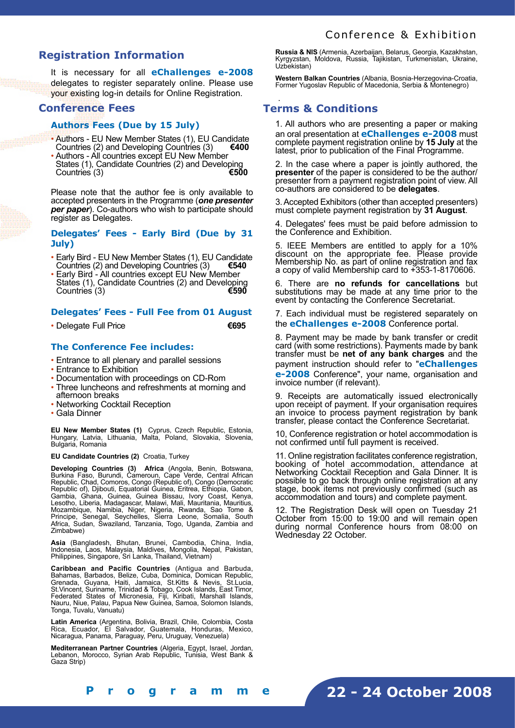# **Registration Information**

It is necessary for all **eChallenges e-2008** delegates to register separately online. Please use your existing log-in details for Online Registration.

# **Conference Fees**

## **Authors Fees (Due by 15 July)**

- Authors EU New Member States (1), EU Candidate Countries (2) and Developing Countries (3) Countries (2) and Developing Countries (3)
- Authors All countries except EU New Member States (1), Candidate Countries (2) and Developing<br>Countries (3) Countries (3)

Please note that the author fee is only available to accepted presenters in the Programme (*one presenter per paper*). Co-authors who wish to participate should register as Delegates.

## **Delegates' Fees - Early Bird (Due by 31 July)**

- Early Bird EU New Member States (1), EU Candidate Countries (2) and Developing Countries (3) **€540**
- Early Bird All countries except EU New Member States (1), Candidate Countries (2) and Developing<br>Countries (3) Countries (3)

## **Delegates' Fees - Full Fee from 01 August**

• Delegate Full Price **€695**

## **The Conference Fee includes:**

- Entrance to all plenary and parallel sessions
- Entrance to Exhibition
- Documentation with proceedings on CD-Rom
- Three luncheons and refreshments at morning and afternoon breaks
- Networking Cocktail Reception
- Gala Dinner

**EU New Member States (1)** Cyprus, Czech Republic, Estonia, Hungary, Latvia, Lithuania, Malta, Poland, Slovakia, Slovenia, Bulgaria, Romania

**EU Candidate Countries (2)** Croatia, Turkey

**Developing Countries (3) Africa** (Angola, Benin, Botswana, Burkina Faso, Burundi, Cameroun, Cape Verde, Central African Republic, Chad, Comoros, Congo (Republic of), Congo (Democratic Republic of), Djibouti, Equatorial Guinea, Eritrea, Ethiopia, Gabon, Gambia, Ghana, Guinea, Guinea Bissau, Ivory Coast, Kenya, Lesotho, Liberia, Madagascar, Malawi, Mali, Mauritania, Mauritius, Mozambique, Namibia, Niger, Nigeria, Rwanda, Sao Tome & Principe, Senegal, Seychelles, Sierra Leone, Somalia, South Africa, Sudan, Swaziland, Tanzania, Togo, Uganda, Zambia and Zimbabwe)

**Asia** (Bangladesh, Bhutan, Brunei, Cambodia, China, India, Indonesia, Laos, Malaysia, Maldives, Mongolia, Nepal, Pakistan, Philippines, Singapore, Sri Lanka, Thailand, Vietnam)

**Caribbean and Pacific Countries** (Antigua and Barbuda, Bahamas, Barbados, Belize, Cuba, Dominica, Domican Republic, Grenada, Guyana, Haiti, Jamaica, St.Kitts & Nevis, St.Lucia, St.Vincent, Suriname, Trinidad & Tobago, Cook Islands, East Timor, Federated States of Micronesia, Fiji, Kiribati, Marshall Islands, Nauru, Niue, Palau, Papua New Guinea, Samoa, Solomon Islands, Tonga, Tuvalu, Vanuatu)

**Latin America** (Argentina, Bolivia, Brazil, Chile, Colombia, Costa Rica, Ecuador, El Salvador, Guatemala, Honduras, Mexico, Nicaragua, Panama, Paraguay, Peru, Uruguay, Venezuela)

**Mediterranean Partner Countries** (Algeria, Egypt, Israel, Jordan, Lebanon, Morocco, Syrian Arab Republic, Tunisia, West Bank & Gaza Strip)

**Russia & NIS** (Armenia, Azerbaijan, Belarus, Georgia, Kazakhstan, Kyrgyzstan, Moldova, Russia, Tajikistan, Turkmenistan, Ukraine, Uzbekistan)

**Western Balkan Countries** (Albania, Bosnia-Herzegovina-Croatia, Former Yugoslav Republic of Macedonia, Serbia & Montenegro)

## . **Terms & Conditions**

1. All authors who are presenting a paper or making an oral presentation at **eChallenges e-2008** must complete payment registration online by **15 July** at the latest, prior to publication of the Final Programme.

2. In the case where a paper is jointly authored, the **presenter** of the paper is considered to be the author/ presenter from a payment registration point of view. All co-authors are considered to be **delegates**.

3. Accepted Exhibitors (other than accepted presenters) must complete payment registration by **31 August**.

4. Delegates' fees must be paid before admission to the Conference and Exhibition.

5. IEEE Members are entitled to apply for a 10% discount on the appropriate fee. Please provide Membership No. as part of online registration and fax a copy of valid Membership card to +353-1-8170606.

6. There are **no refunds for cancellations** but substitutions may be made at any time prior to the event by contacting the Conference Secretariat.

7. Each individual must be registered separately on the **eChallenges e-2008** Conference portal.

8. Payment may be made by bank transfer or credit card (with some restrictions). Payments made by bank transfer must be **net of any bank charges** and the payment instruction should refer to "**eChallenges e-2008** Conference", your name, organisation and invoice number (if relevant).

9. Receipts are automatically issued electronically upon receipt of payment. If your organisation requires an invoice to process payment registration by bank transfer, please contact the Conference Secretariat.

10, Conference registration or hotel accommodation is not confirmed until full payment is received.

11. Online registration facilitates conference registration, booking of hotel accommodation, attendance at Networking Cocktail Reception and Gala Dinner. It is possible to go back through online registration at any stage, book items not previously confirmed (such as accommodation and tours) and complete payment.

12. The Registration Desk will open on Tuesday 21 October from 15:00 to 19:00 and will remain open during normal Conference hours from 08:00 on Wednesday 22 October.

**[ 1 4 - 1 5 ] F i n a l P r o g r a m m e**